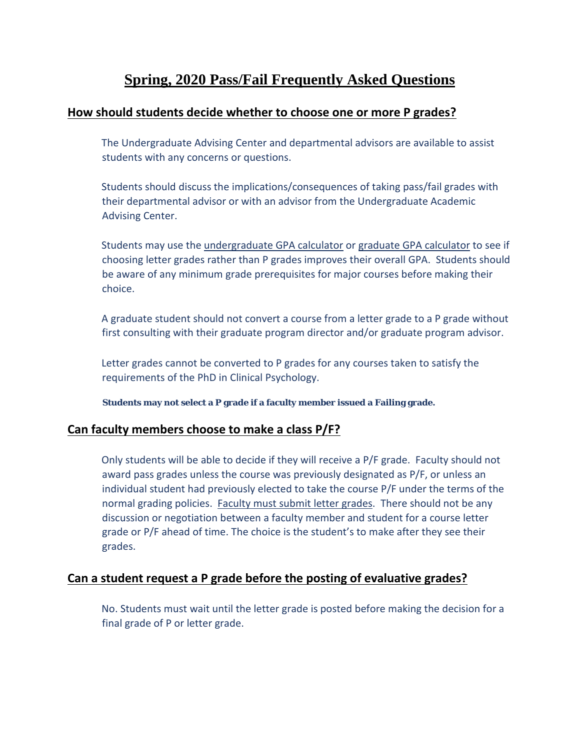# **Spring, 2020 Pass/Fail Frequently Asked Questions**

### **How should students decide whether to choose one or more P grades?**

The Undergraduate Advising Center and departmental advisors are available to assist students with any concerns or questions.

Students should discuss the implications/consequences of taking pass/fail grades with their departmental advisor or with an advisor from the Undergraduate Academic Advising Center.

Students may use th[e](https://www.suffolk.edu/about/directory/registrars-office/undergraduate-resources-services/grading/gpa-calculator) [undergraduate GPA calculator](https://www.suffolk.edu/about/directory/registrars-office/undergraduate-resources-services/grading/gpa-calculator) o[r](https://www.suffolk.edu/about/directory/registrars-office/graduate-students/grading/gpa-calculator) [graduate GPA calculator](https://www.suffolk.edu/about/directory/registrars-office/graduate-students/grading/gpa-calculator) to see if choosing letter grades rather than P grades improves their overall GPA. Students should be aware of any minimum grade prerequisites for major courses before making their choice.

A graduate student should not convert a course from a letter grade to a P grade without first consulting with their graduate program director and/or graduate program advisor.

Letter grades cannot be converted to P grades for any courses taken to satisfy the requirements of the PhD in Clinical Psychology.

**Students may not select a P grade if a faculty member issued a Failing grade.**

#### **Can faculty members choose to make a class P/F?**

Only students will be able to decide if they will receive a P/F grade. Faculty should not award pass grades unless the course was previously designated as P/F, or unless an individual student had previously elected to take the course P/F under the terms of the normal grading policies. Faculty must submit letter grades. There should not be any discussion or negotiation between a faculty member and student for a course letter grade or P/F ahead of time. The choice is the student's to make after they see their grades.

### **Can a student request a P grade before the posting of evaluative grades?**

No. Students must wait until the letter grade is posted before making the decision for a final grade of P or letter grade.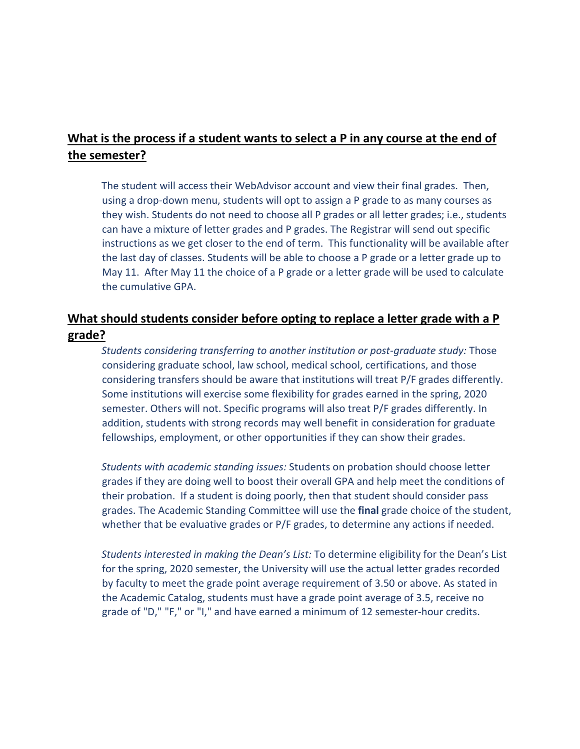## **What is the process if a student wants to select a P in any course at the end of the semester?**

The student will access their WebAdvisor account and view their final grades. Then, using a drop-down menu, students will opt to assign a P grade to as many courses as they wish. Students do not need to choose all P grades or all letter grades; i.e., students can have a mixture of letter grades and P grades. The Registrar will send out specific instructions as we get closer to the end of term. This functionality will be available after the last day of classes. Students will be able to choose a P grade or a letter grade up to May 11. After May 11 the choice of a P grade or a letter grade will be used to calculate the cumulative GPA.

# **What should students consider before opting to replace a letter grade with a P grade?**

*Students considering transferring to another institution or post-graduate study:* Those considering graduate school, law school, medical school, certifications, and those considering transfers should be aware that institutions will treat P/F grades differently. Some institutions will exercise some flexibility for grades earned in the spring, 2020 semester. Others will not. Specific programs will also treat P/F grades differently. In addition, students with strong records may well benefit in consideration for graduate fellowships, employment, or other opportunities if they can show their grades.

*Students with academic standing issues:* Students on probation should choose letter grades if they are doing well to boost their overall GPA and help meet the conditions of their probation. If a student is doing poorly, then that student should consider pass grades. The Academic Standing Committee will use the **final** grade choice of the student, whether that be evaluative grades or P/F grades, to determine any actions if needed.

*Students interested in making the Dean's List:* To determine eligibility for the Dean's List for the spring, 2020 semester, the University will use the actual letter grades recorded by faculty to meet the grade point average requirement of 3.50 or above. As stated in the Academic Catalog, students must have a grade point average of 3.5, receive no grade of "D," "F," or "I," and have earned a minimum of 12 semester-hour credits.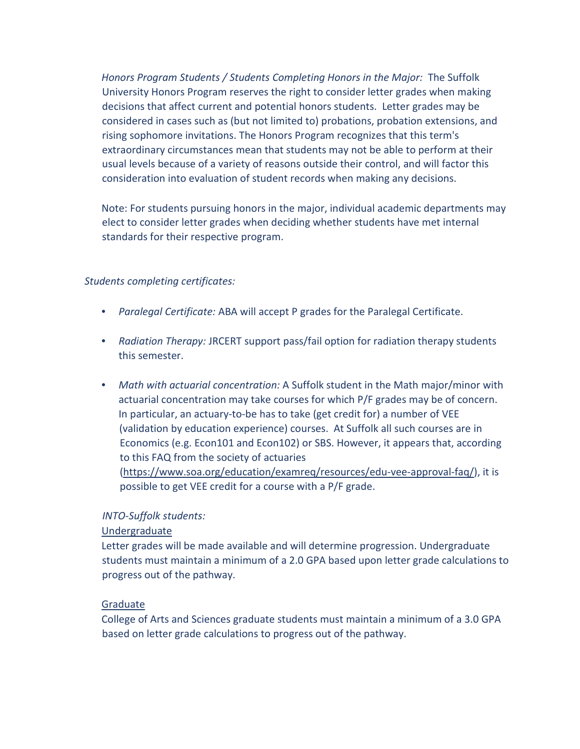*Honors Program Students / Students Completing Honors in the Major:* The Suffolk University Honors Program reserves the right to consider letter grades when making decisions that affect current and potential honors students. Letter grades may be considered in cases such as (but not limited to) probations, probation extensions, and rising sophomore invitations. The Honors Program recognizes that this term's extraordinary circumstances mean that students may not be able to perform at their usual levels because of a variety of reasons outside their control, and will factor this consideration into evaluation of student records when making any decisions.

Note: For students pursuing honors in the major, individual academic departments may elect to consider letter grades when deciding whether students have met internal standards for their respective program.

#### *Students completing certificates:*

- *Paralegal Certificate:* ABA will accept P grades for the Paralegal Certificate.
- *Radiation Therapy:* JRCERT support pass/fail option for radiation therapy students this semester.
- *Math with actuarial concentration:* A Suffolk student in the Math major/minor with actuarial concentration may take courses for which P/F grades may be of concern. In particular, an actuary-to-be has to take (get credit for) a number of VEE (validation by education experience) courses. At Suffolk all such courses are in Economics (e.g. Econ101 and Econ102) or SBS. However, it appears that, according to this FAQ from the society of actuaries [\(https://www.soa.org/education/examreq/resources/edu-vee-approval-faq/\),](https://www.soa.org/education/exam-req/resources/edu-vee-approval-faq/) it is possible to get VEE credit for a course with a P/F grade.

#### *INTO-Suffolk students:*

#### Undergraduate

Letter grades will be made available and will determine progression. Undergraduate students must maintain a minimum of a 2.0 GPA based upon letter grade calculations to progress out of the pathway.

#### **Graduate**

College of Arts and Sciences graduate students must maintain a minimum of a 3.0 GPA based on letter grade calculations to progress out of the pathway.